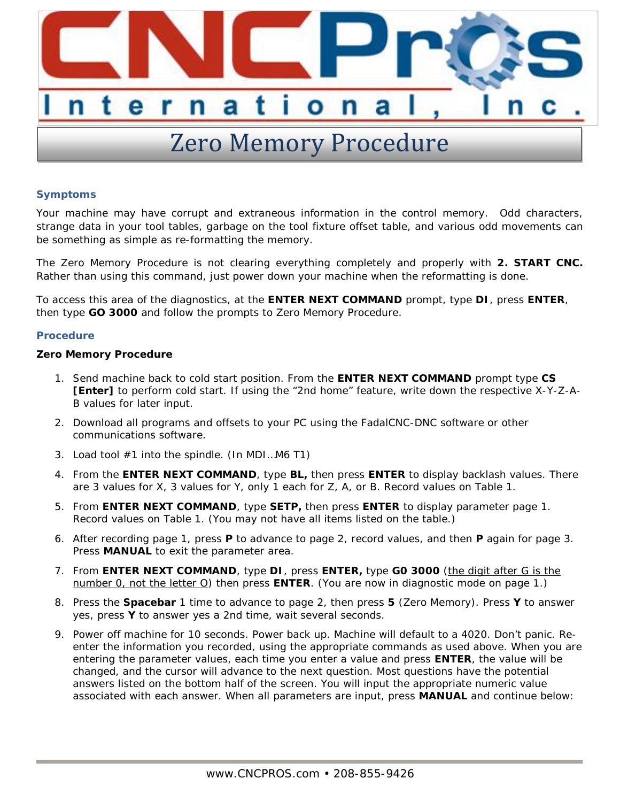

## **Symptoms**

Your machine may have corrupt and extraneous information in the control memory. Odd characters, strange data in your tool tables, garbage on the tool fixture offset table, and various odd movements can be something as simple as re-formatting the memory.

The Zero Memory Procedure is not clearing everything completely and properly with **2. START CNC.** Rather than using this command, just power down your machine when the reformatting is done.

To access this area of the diagnostics, at the **ENTER NEXT COMMAND** prompt, type **DI**, press **ENTER**, then type **GO 3000** and follow the prompts to Zero Memory Procedure.

## **Procedure**

**Zero Memory Procedure**

- 1. Send machine back to cold start position. From the **ENTER NEXT COMMAND** prompt type **CS [Enter]** to perform cold start. If using the "2nd home" feature, write down the respective X-Y-Z-A-B values for later input.
- 2. Download all programs and offsets to your PC using the FadalCNC-DNC software or other communications software.
- 3. Load tool #1 into the spindle. (In MDI…M6 T1)
- 4. From the **ENTER NEXT COMMAND**, type **BL,** then press **ENTER** to display backlash values. There are 3 values for X, 3 values for Y, only 1 each for Z, A, or B. Record values on Table 1.
- 5. From **ENTER NEXT COMMAND**, type **SETP,** then press **ENTER** to display parameter page 1. Record values on Table 1. (You may not have all items listed on the table.)
- 6. After recording page 1, press **P** to advance to page 2, record values, and then **P** again for page 3. Press **MANUAL** to exit the parameter area.
- 7. From **ENTER NEXT COMMAND**, type **DI**, press **ENTER,** type **G0 3000** (the digit after G is the number 0, not the letter O) then press **ENTER**. (You are now in diagnostic mode on page 1.)
- 8. Press the **Spacebar** 1 time to advance to page 2, then press **5** (Zero Memory). Press **Y** to answer yes, press **Y** to answer yes a 2nd time, wait several seconds.
- 9. Power off machine for 10 seconds. Power back up. Machine will default to a 4020. Don't panic. Reenter the information you recorded, using the appropriate commands as used above. When you are entering the parameter values, each time you enter a value and press **ENTER**, the value will be changed, and the cursor will advance to the next question. Most questions have the potential answers listed on the bottom half of the screen. You will input the appropriate numeric value associated with each answer. When all parameters are input, press **MANUAL** and continue below: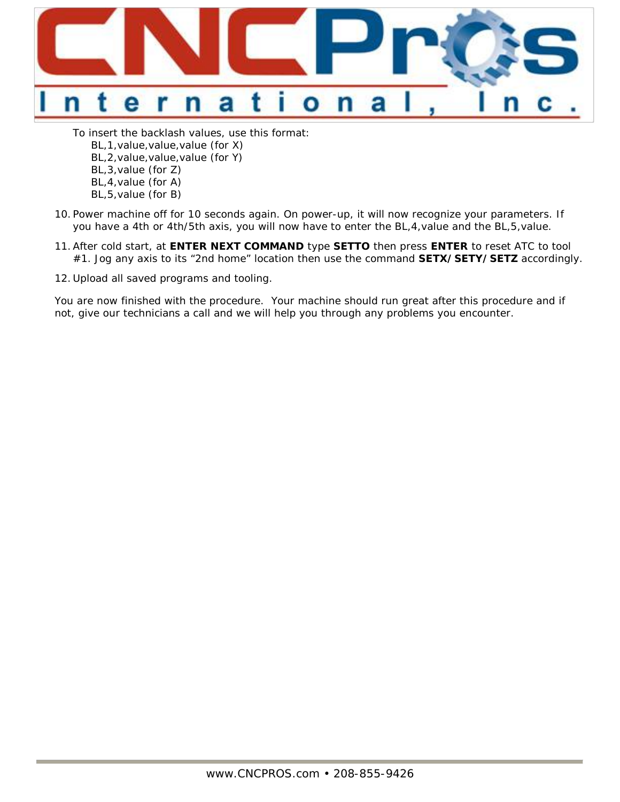

To insert the backlash values, use this format: BL,1,value,value,value (for X) BL,2,value,value,value (for Y) BL,3,value (for Z) BL,4,value (for A) BL,5,value (for B)

- 10. Power machine off for 10 seconds again. On power-up, it will now recognize your parameters. If you have a 4th or 4th/5th axis, you will now have to enter the BL,4,value and the BL,5,value.
- 11.After cold start, at **ENTER NEXT COMMAND** type **SETTO** then press **ENTER** to reset ATC to tool #1. Jog any axis to its "2nd home" location then use the command **SETX/SETY/SETZ** accordingly.
- 12. Upload all saved programs and tooling.

You are now finished with the procedure. Your machine should run great after this procedure and if not, give our technicians a call and we will help you through any problems you encounter.